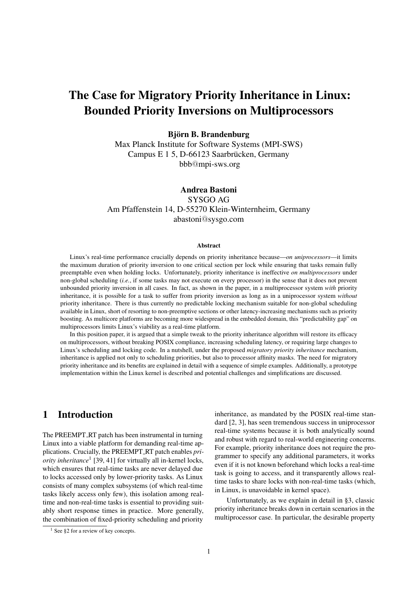# The Case for Migratory Priority Inheritance in Linux: Bounded Priority Inversions on Multiprocessors

Björn B. Brandenburg

Max Planck Institute for Software Systems (MPI-SWS) Campus E 1 5, D-66123 Saarbrücken, Germany bbb@mpi-sws.org

Andrea Bastoni SYSGO AG Am Pfaffenstein 14, D-55270 Klein-Winternheim, Germany abastoni@sysgo.com

#### Abstract

Linux's real-time performance crucially depends on priority inheritance because—*on uniprocessors*—it limits the maximum duration of priority inversion to one critical section per lock while ensuring that tasks remain fully preemptable even when holding locks. Unfortunately, priority inheritance is ineffective *on multiprocessors* under non-global scheduling (*i.e.*, if some tasks may not execute on every processor) in the sense that it does not prevent unbounded priority inversion in all cases. In fact, as shown in the paper, in a multiprocessor system *with* priority inheritance, it is possible for a task to suffer from priority inversion as long as in a uniprocessor system *without* priority inheritance. There is thus currently no predictable locking mechanism suitable for non-global scheduling available in Linux, short of resorting to non-preemptive sections or other latency-increasing mechanisms such as priority boosting. As multicore platforms are becoming more widespread in the embedded domain, this "predictability gap" on multiprocessors limits Linux's viability as a real-time platform.

In this position paper, it is argued that a simple tweak to the priority inheritance algorithm will restore its efficacy on multiprocessors, without breaking POSIX compliance, increasing scheduling latency, or requiring large changes to Linux's scheduling and locking code. In a nutshell, under the proposed *migratory priority inheritance* mechanism, inheritance is applied not only to scheduling priorities, but also to processor affinity masks. The need for migratory priority inheritance and its benefits are explained in detail with a sequence of simple examples. Additionally, a prototype implementation within the Linux kernel is described and potential challenges and simplifications are discussed.

# 1 Introduction

The PREEMPT\_RT patch has been instrumental in turning Linux into a viable platform for demanding real-time applications. Crucially, the PREEMPT RT patch enables *priority inheritance*[1](#page-0-0) [\[39,](#page-17-0) [41\]](#page-17-1) for virtually all in-kernel locks, which ensures that real-time tasks are never delayed due to locks accessed only by lower-priority tasks. As Linux consists of many complex subsystems (of which real-time tasks likely access only few), this isolation among realtime and non-real-time tasks is essential to providing suitably short response times in practice. More generally, the combination of fixed-priority scheduling and priority

Unfortunately, as we explain in detail in [§3,](#page-3-0) classic priority inheritance breaks down in certain scenarios in the multiprocessor case. In particular, the desirable property

inheritance, as mandated by the POSIX real-time standard [\[2,](#page-15-0) [3\]](#page-15-1), has seen tremendous success in uniprocessor real-time systems because it is both analytically sound and robust with regard to real-world engineering concerns. For example, priority inheritance does not require the programmer to specify any additional parameters, it works even if it is not known beforehand which locks a real-time task is going to access, and it transparently allows realtime tasks to share locks with non-real-time tasks (which, in Linux, is unavoidable in kernel space).

<span id="page-0-0"></span><sup>&</sup>lt;sup>1</sup> See [§2](#page-1-0) for a review of key concepts.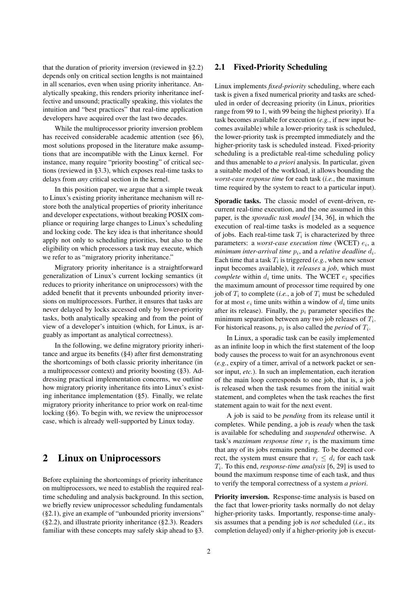that the duration of priority inversion (reviewed in [§2.2\)](#page-2-0) depends only on critical section lengths is not maintained in all scenarios, even when using priority inheritance. Analytically speaking, this renders priority inheritance ineffective and unsound; practically speaking, this violates the intuition and "best practices" that real-time application developers have acquired over the last two decades.

While the multiprocessor priority inversion problem has received considerable academic attention (see [§6\)](#page-13-0), most solutions proposed in the literature make assumptions that are incompatible with the Linux kernel. For instance, many require "priority boosting" of critical sections (reviewed in [§3.3\)](#page-5-0), which exposes real-time tasks to delays from *any* critical section in the kernel.

In this position paper, we argue that a simple tweak to Linux's existing priority inheritance mechanism will restore both the analytical properties of priority inheritance and developer expectations, without breaking POSIX compliance or requiring large changes to Linux's scheduling and locking code. The key idea is that inheritance should apply not only to scheduling priorities, but also to the eligibility on which processors a task may execute, which we refer to as "migratory priority inheritance."

Migratory priority inheritance is a straightforward generalization of Linux's current locking semantics (it reduces to priority inheritance on uniprocessors) with the added benefit that it prevents unbounded priority inversions on multiprocessors. Further, it ensures that tasks are never delayed by locks accessed only by lower-priority tasks, both analytically speaking and from the point of view of a developer's intuition (which, for Linux, is arguably as important as analytical correctness).

In the following, we define migratory priority inheritance and argue its benefits ([§4\)](#page-6-0) after first demonstrating the shortcomings of both classic priority inheritance (in a multiprocessor context) and priority boosting ([§3\)](#page-3-0). Addressing practical implementation concerns, we outline how migratory priority inheritance fits into Linux's existing inheritance implementation ([§5\)](#page-10-0). Finally, we relate migratory priority inheritance to prior work on real-time locking ([§6\)](#page-13-0). To begin with, we review the uniprocessor case, which is already well-supported by Linux today.

# <span id="page-1-0"></span>2 Linux on Uniprocessors

<span id="page-1-1"></span>Before explaining the shortcomings of priority inheritance on multiprocessors, we need to establish the required realtime scheduling and analysis background. In this section, we briefly review uniprocessor scheduling fundamentals ([§2.1\)](#page-1-1), give an example of "unbounded priority inversions" ([§2.2\)](#page-2-0), and illustrate priority inheritance ([§2.3\)](#page-3-1). Readers familiar with these concepts may safely skip ahead to [§3.](#page-3-0)

### 2.1 Fixed-Priority Scheduling

Linux implements *fixed-priority* scheduling, where each task is given a fixed numerical priority and tasks are scheduled in order of decreasing priority (in Linux, priorities range from 99 to 1, with 99 being the highest priority). If a task becomes available for execution (*e.g.*, if new input becomes available) while a lower-priority task is scheduled, the lower-priority task is preempted immediately and the higher-priority task is scheduled instead. Fixed-priority scheduling is a predictable real-time scheduling policy and thus amenable to *a priori* analysis. In particular, given a suitable model of the workload, it allows bounding the *worst-case response time* for each task (*i.e.*, the maximum time required by the system to react to a particular input).

Sporadic tasks. The classic model of event-driven, recurrent real-time execution, and the one assumed in this paper, is the *sporadic task model* [\[34,](#page-17-2) [36\]](#page-17-3), in which the execution of real-time tasks is modeled as a sequence of jobs. Each real-time task  $T_i$  is characterized by three parameters: a *worst-case execution time* (WCET)  $e_i$ , a  $m$ *inimum inter-arrival time*  $p_i$ *, and a relative deadline*  $d_i$ *.* Each time that a task  $T_i$  is triggered (*e.g.*, when new sensor input becomes available), it *releases* a *job*, which must *complete* within  $d_i$  time units. The WCET  $e_i$  specifies the maximum amount of processor time required by one job of  $T_i$  to complete (*i.e.*, a job of  $T_i$  must be scheduled for at most  $e_i$  time units within a window of  $d_i$  time units after its release). Finally, the  $p_i$  parameter specifies the minimum separation between any two job releases of  $T_i$ . For historical reasons,  $p_i$  is also called the *period* of  $T_i$ .

In Linux, a sporadic task can be easily implemented as an infinite loop in which the first statement of the loop body causes the process to wait for an asynchronous event (*e.g.*, expiry of a timer, arrival of a network packet or sensor input, *etc.*). In such an implementation, each iteration of the main loop corresponds to one job, that is, a job is released when the task resumes from the initial wait statement, and completes when the task reaches the first statement again to wait for the next event.

A job is said to be *pending* from its release until it completes. While pending, a job is *ready* when the task is available for scheduling and *suspended* otherwise. A task's *maximum response time*  $r_i$  is the maximum time that any of its jobs remains pending. To be deemed correct, the system must ensure that  $r_i \leq d_i$  for each task  $T_i$ . To this end, *response-time analysis* [\[6,](#page-15-2) [29\]](#page-16-0) is used to bound the maximum response time of each task, and thus to verify the temporal correctness of a system *a priori*.

Priority inversion. Response-time analysis is based on the fact that lower-priority tasks normally do not delay higher-priority tasks. Importantly, response-time analysis assumes that a pending job is *not* scheduled (*i.e.*, its completion delayed) only if a higher-priority job is execut-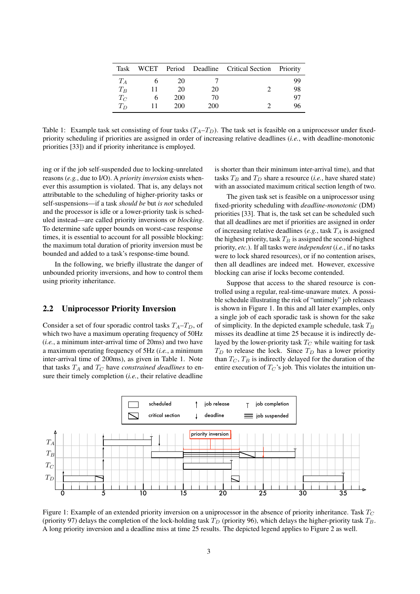| Task    |     |     | WCET Period Deadline Critical Section Priority |    |
|---------|-----|-----|------------------------------------------------|----|
| $T_A$   | 20  |     |                                                | 99 |
| $T_B$   | 20  | 20  |                                                | 98 |
| $T_C$   | 200 | 70  |                                                | 97 |
| $T_{D}$ | 200 | 200 |                                                |    |

<span id="page-2-1"></span>Table 1: Example task set consisting of four tasks  $(T_A-T_D)$ . The task set is feasible on a uniprocessor under fixedpriority scheduling if priorities are assigned in order of increasing relative deadlines (*i.e.*, with deadline-monotonic priorities [\[33\]](#page-17-4)) and if priority inheritance is employed.

ing or if the job self-suspended due to locking-unrelated reasons (*e.g.*, due to I/O). A *priority inversion* exists whenever this assumption is violated. That is, any delays not attributable to the scheduling of higher-priority tasks or self-suspensions—if a task *should be* but *is not* scheduled and the processor is idle or a lower-priority task is scheduled instead—are called priority inversions or *blocking*. To determine safe upper bounds on worst-case response times, it is essential to account for all possible blocking: the maximum total duration of priority inversion must be bounded and added to a task's response-time bound.

In the following, we briefly illustrate the danger of unbounded priority inversions, and how to control them using priority inheritance.

#### <span id="page-2-0"></span>2.2 Uniprocessor Priority Inversion

Consider a set of four sporadic control tasks  $T_A - T_D$ , of which two have a maximum operating frequency of 50Hz (*i.e.*, a minimum inter-arrival time of 20ms) and two have a maximum operating frequency of 5Hz (*i.e.*, a minimum inter-arrival time of 200ms), as given in Table [1.](#page-2-1) Note that tasks  $T_A$  and  $T_C$  have *constrained deadlines* to ensure their timely completion (*i.e.*, their relative deadline

is shorter than their minimum inter-arrival time), and that tasks  $T_B$  and  $T_D$  share a resource (*i.e.*, have shared state) with an associated maximum critical section length of two.

The given task set is feasible on a uniprocessor using fixed-priority scheduling with *deadline-monotonic* (DM) priorities [\[33\]](#page-17-4). That is, the task set can be scheduled such that all deadlines are met if priorities are assigned in order of increasing relative deadlines ( $e.g.,$  task  $T_A$  is assigned the highest priority, task  $T_B$  is assigned the second-highest priority, *etc.*). If all tasks were *independent* (*i.e.*, if no tasks were to lock shared resources), or if no contention arises, then all deadlines are indeed met. However, excessive blocking can arise if locks become contended.

Suppose that access to the shared resource is controlled using a regular, real-time-unaware mutex. A possible schedule illustrating the risk of "untimely" job releases is shown in Figure [1.](#page-2-2) In this and all later examples, only a single job of each sporadic task is shown for the sake of simplicity. In the depicted example schedule, task  $T_B$ misses its deadline at time 25 because it is indirectly delayed by the lower-priority task  $T_C$  while waiting for task  $T_D$  to release the lock. Since  $T_D$  has a lower priority than  $T_C$ ,  $T_B$  is indirectly delayed for the duration of the entire execution of  $T_C$ 's job. This violates the intuition un-



<span id="page-2-2"></span>Figure 1: Example of an extended priority inversion on a uniprocessor in the absence of priority inheritance. Task  $T_C$ (priority 97) delays the completion of the lock-holding task  $T_D$  (priority 96), which delays the higher-priority task  $T_B$ . A long priority inversion and a deadline miss at time 25 results. The depicted legend applies to Figure [2](#page-3-2) as well.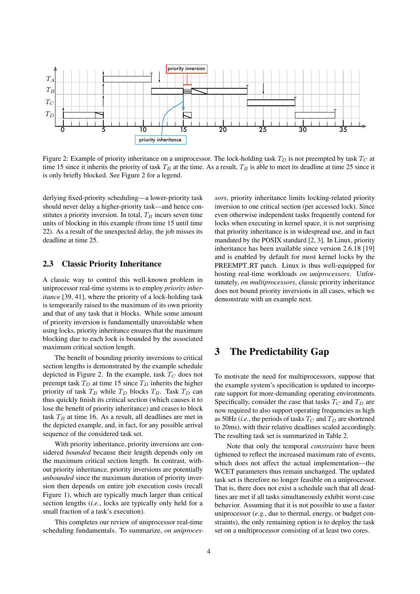

<span id="page-3-2"></span>Figure 2: Example of priority inheritance on a uniprocessor. The lock-holding task  $T_D$  is not preempted by task  $T_C$  at time 15 since it inherits the priority of task  $T_B$  at the time. As a result,  $T_B$  is able to meet its deadline at time 25 since it is only briefly blocked. See Figure [2](#page-3-2) for a legend.

derlying fixed-priority scheduling—a lower-priority task should never delay a higher-priority task—and hence constitutes a priority inversion. In total,  $T_B$  incurs seven time units of blocking in this example (from time 15 until time 22). As a result of the unexpected delay, the job misses its deadline at time 25.

### <span id="page-3-1"></span>2.3 Classic Priority Inheritance

A classic way to control this well-known problem in uniprocessor real-time systems is to employ *priority inheritance* [\[39,](#page-17-0) [41\]](#page-17-1), where the priority of a lock-holding task is temporarily raised to the maximum of its own priority and that of any task that it blocks. While some amount of priority inversion is fundamentally unavoidable when using locks, priority inheritance ensures that the maximum blocking due to each lock is bounded by the associated maximum critical section length.

The benefit of bounding priority inversions to critical section lengths is demonstrated by the example schedule depicted in Figure [2.](#page-3-2) In the example, task  $T_C$  does not preempt task  $T_D$  at time 15 since  $T_D$  inherits the higher priority of task  $T_B$  while  $T_D$  blocks  $T_B$ . Task  $T_D$  can thus quickly finish its critical section (which causes it to lose the benefit of priority inheritance) and ceases to block task  $T_B$  at time 16. As a result, all deadlines are met in the depicted example, and, in fact, for any possible arrival sequence of the considered task set.

With priority inheritance, priority inversions are considered *bounded* because their length depends only on the maximum critical section length. In contrast, without priority inheritance, priority inversions are potentially *unbounded* since the maximum duration of priority inversion then depends on entire job execution costs (recall Figure [1\)](#page-2-2), which are typically much larger than critical section lengths (*i.e.*, locks are typically only held for a small fraction of a task's execution).

This completes our review of uniprocessor real-time scheduling fundamentals. To summarize, *on uniproces-* *sors*, priority inheritance limits locking-related priority inversion to one critical section (per accessed lock). Since even otherwise independent tasks frequently contend for locks when executing in kernel space, it is not surprising that priority inheritance is in widespread use, and in fact mandated by the POSIX standard [\[2,](#page-15-0) [3\]](#page-15-1). In Linux, priority inheritance has been available since version 2.6.18 [\[19\]](#page-16-1) and is enabled by default for most kernel locks by the PREEMPT\_RT patch. Linux is thus well-equipped for hosting real-time workloads *on uniprocessors*. Unfortunately, *on multiprocessors*, classic priority inheritance does not bound priority inversions in all cases, which we demonstrate with an example next.

# <span id="page-3-0"></span>3 The Predictability Gap

To motivate the need for multiprocessors, suppose that the example system's specification is updated to incorporate support for more-demanding operating environments. Specifically, consider the case that tasks  $T_C$  and  $T_D$  are now required to also support operating frequencies as high as 50Hz (*i.e.*, the periods of tasks  $T_C$  and  $T_D$  are shortened to 20ms), with their relative deadlines scaled accordingly. The resulting task set is summarized in Table [2.](#page-4-0)

Note that only the temporal *constraints* have been tightened to reflect the increased maximum rate of events, which does not affect the actual implementation—the WCET parameters thus remain unchanged. The updated task set is therefore no longer feasible on a uniprocessor. That is, there does not exist a schedule such that all deadlines are met if all tasks simultaneously exhibit worst-case behavior. Assuming that it is not possible to use a faster uniprocessor (*e.g.*, due to thermal, energy, or budget constraints), the only remaining option is to deploy the task set on a multiprocessor consisting of at least two cores.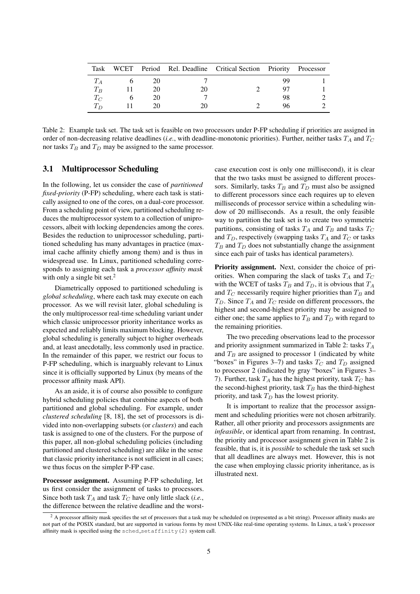|       |     | Task WCET Period Rel. Deadline Critical Section Priority Processor |    |  |
|-------|-----|--------------------------------------------------------------------|----|--|
|       | 20. |                                                                    |    |  |
| $T_B$ | 20  |                                                                    |    |  |
| $T_C$ | 20  |                                                                    | 98 |  |
| $T_D$ |     |                                                                    |    |  |

<span id="page-4-0"></span>Table 2: Example task set. The task set is feasible on two processors under P-FP scheduling if priorities are assigned in order of non-decreasing relative deadlines (*i.e.*, with deadline-monotonic priorities). Further, neither tasks  $T_A$  and  $T_C$ nor tasks  $T_B$  and  $T_D$  may be assigned to the same processor.

#### 3.1 Multiprocessor Scheduling

In the following, let us consider the case of *partitioned fixed-priority* (P-FP) scheduling, where each task is statically assigned to one of the cores, on a dual-core processor. From a scheduling point of view, partitioned scheduling reduces the multiprocessor system to a collection of uniprocessors, albeit with locking dependencies among the cores. Besides the reduction to uniprocessor scheduling, partitioned scheduling has many advantages in practice (maximal cache affinity chiefly among them) and is thus in widespread use. In Linux, partitioned scheduling corresponds to assigning each task a *processor affinity mask* with only a single bit set.<sup>[2](#page-4-1)</sup>

Diametrically opposed to partitioned scheduling is *global scheduling*, where each task may execute on each processor. As we will revisit later, global scheduling is the only multiprocessor real-time scheduling variant under which classic uniprocessor priority inheritance works as expected and reliably limits maximum blocking. However, global scheduling is generally subject to higher overheads and, at least anecdotally, less commonly used in practice. In the remainder of this paper, we restrict our focus to P-FP scheduling, which is inarguably relevant to Linux since it is officially supported by Linux (by means of the processor affinity mask API).

As an aside, it is of course also possible to configure hybrid scheduling policies that combine aspects of both partitioned and global scheduling. For example, under *clustered scheduling* [\[8,](#page-15-3) [18\]](#page-16-2), the set of processors is divided into non-overlapping subsets (or *clusters*) and each task is assigned to one of the clusters. For the purpose of this paper, all non-global scheduling policies (including partitioned and clustered scheduling) are alike in the sense that classic priority inheritance is not sufficient in all cases; we thus focus on the simpler P-FP case.

Processor assignment. Assuming P-FP scheduling, let us first consider the assignment of tasks to processors. Since both task  $T_A$  and task  $T_C$  have only little slack (*i.e.*, the difference between the relative deadline and the worstcase execution cost is only one millisecond), it is clear that the two tasks must be assigned to different processors. Similarly, tasks  $T_B$  and  $T_D$  must also be assigned to different processors since each requires up to eleven milliseconds of processor service within a scheduling window of 20 milliseconds. As a result, the only feasible way to partition the task set is to create two symmetric partitions, consisting of tasks  $T_A$  and  $T_B$  and tasks  $T_C$ and  $T_D$ , respectively (swapping tasks  $T_A$  and  $T_C$  or tasks  $T_B$  and  $T_D$  does not substantially change the assignment since each pair of tasks has identical parameters).

Priority assignment. Next, consider the choice of priorities. When comparing the slack of tasks  $T_A$  and  $T_C$ with the WCET of tasks  $T_B$  and  $T_D$ , it is obvious that  $T_A$ and  $T_C$  necessarily require higher priorities than  $T_B$  and  $T_D$ . Since  $T_A$  and  $T_C$  reside on different processors, the highest and second-highest priority may be assigned to either one; the same applies to  $T_B$  and  $T_D$  with regard to the remaining priorities.

The two preceding observations lead to the processor and priority assignment summarized in Table [2:](#page-4-0) tasks  $T_A$ and  $T_B$  are assigned to processor 1 (indicated by white "boxes" in Figures [3–](#page-5-1)[7\)](#page-9-0) and tasks  $T_C$  and  $T_D$  assigned to processor 2 (indicated by gray "boxes" in Figures [3–](#page-5-1) [7\)](#page-9-0). Further, task  $T_A$  has the highest priority, task  $T_C$  has the second-highest priority, task  $T_B$  has the third-highest priority, and task  $T_D$  has the lowest priority.

<span id="page-4-2"></span>It is important to realize that the processor assignment and scheduling priorities were not chosen arbitrarily. Rather, all other priority and processors assignments are *infeasible*, or identical apart from renaming. In contrast, the priority and processor assignment given in Table [2](#page-4-0) is feasible, that is, it is *possible* to schedule the task set such that all deadlines are always met. However, this is not the case when employing classic priority inheritance, as is illustrated next.

<span id="page-4-1"></span><sup>&</sup>lt;sup>2</sup> A processor affinity mask specifies the set of processors that a task may be scheduled on (represented as a bit string). Processor affinity masks are not part of the POSIX standard, but are supported in various forms by most UNIX-like real-time operating systems. In Linux, a task's processor affinity mask is specified using the sched\_setaffinity(2) system call.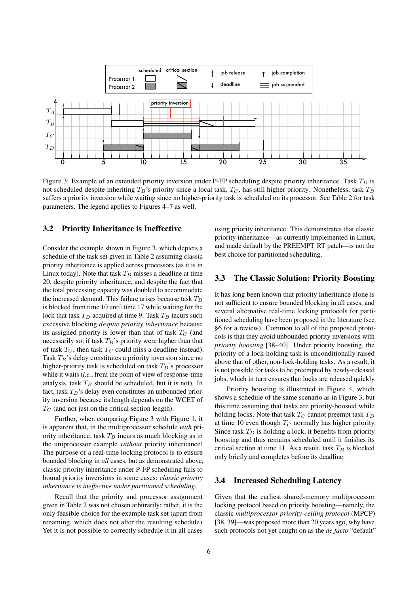

<span id="page-5-1"></span>Figure 3: Example of an extended priority inversion under P-FP scheduling despite priority inheritance. Task  $T_D$  is not scheduled despite inheriting  $T_B$ 's priority since a local task,  $T_C$ , has still higher priority. Nonetheless, task  $T_B$ suffers a priority inversion while waiting since no higher-priority task is scheduled on its processor. See Table [2](#page-4-0) for task parameters. The legend applies to Figures [4](#page-6-1)[–7](#page-9-0) as well.

#### 3.2 Priority Inheritance is Ineffective

Consider the example shown in Figure [3,](#page-5-1) which depicts a schedule of the task set given in Table [2](#page-4-0) assuming classic priority inheritance is applied across processors (as it is in Linux today). Note that task  $T_B$  misses a deadline at time 20, despite priority inheritance, and despite the fact that the total processing capacity was doubled to accommodate the increased demand. This failure arises because task  $T_B$ is blocked from time 10 until time 17 while waiting for the lock that task  $T_D$  acquired at time 9. Task  $T_B$  incurs such excessive blocking *despite priority inheritance* because its assigned priority is lower than that of task  $T_C$  (and necessarily so; if task  $T_B$ 's priority were higher than that of task  $T_C$ , then task  $T_C$  could miss a deadline instead). Task  $T_B$ 's delay constitutes a priority inversion since no higher-priority task is scheduled on task  $T_B$ 's processor while it waits (*i.e.*, from the point of view of response-time analysis, task  $T_B$  should be scheduled, but it is not). In fact, task  $T_B$ 's delay even constitutes an unbounded priority inversion because its length depends on the WCET of  $T_C$  (and not just on the critical section length).

Further, when comparing Figure [3](#page-5-1) with Figure [1,](#page-2-2) it is apparent that, in the multiprocessor schedule *with* priority inheritance, task  $T_B$  incurs as much blocking as in the uniprocessor example *without* priority inheritance! The purpose of a real-time locking protocol is to ensure bounded blocking in *all* cases, but as demonstrated above, classic priority inheritance under P-FP scheduling fails to bound priority inversions in some cases: *classic priority inheritance is ineffective under partitioned scheduling.*

Recall that the priority and processor assignment given in Table [2](#page-4-0) was not chosen arbitrarily; rather, it is the only feasible choice for the example task set (apart from renaming, which does not alter the resulting schedule). Yet it is not possible to correctly schedule it in all cases using priority inheritance. This demonstrates that classic priority inheritance—as currently implemented in Linux, and made default by the PREEMPT RT patch—is not the best choice for partitioned scheduling.

#### <span id="page-5-0"></span>3.3 The Classic Solution: Priority Boosting

It has long been known that priority inheritance alone is not sufficient to ensure bounded blocking in all cases, and several alternative real-time locking protocols for partitioned scheduling have been proposed in the literature (see [§6](#page-13-0) for a review). Common to all of the proposed protocols is that they avoid unbounded priority inversions with *priority boosting* [\[38](#page-17-5)[–40\]](#page-17-6). Under priority boosting, the priority of a lock-holding task is unconditionally raised above that of other, non-lock-holding tasks. As a result, it is not possible for tasks to be preempted by newly-released jobs, which in turn ensures that locks are released quickly.

Priority boosting is illustrated in Figure [4,](#page-6-1) which shows a schedule of the same scenario as in Figure [3,](#page-5-1) but this time assuming that tasks are priority-boosted while holding locks. Note that task  $T_C$  cannot preempt task  $T_D$ at time 10 even though  $T_C$  normally has higher priority. Since task  $T_D$  is holding a lock, it benefits from priority boosting and thus remains scheduled until it finishes its critical section at time 11. As a result, task  $T_B$  is blocked only briefly and completes before its deadline.

#### <span id="page-5-2"></span>3.4 Increased Scheduling Latency

Given that the earliest shared-memory multiprocessor locking protocol based on priority boosting—namely, the classic *multiprocessor priority-ceiling protocol* (MPCP) [\[38,](#page-17-5) [39\]](#page-17-0)—was proposed more than 20 years ago, why have such protocols not yet caught on as the *de facto* "default"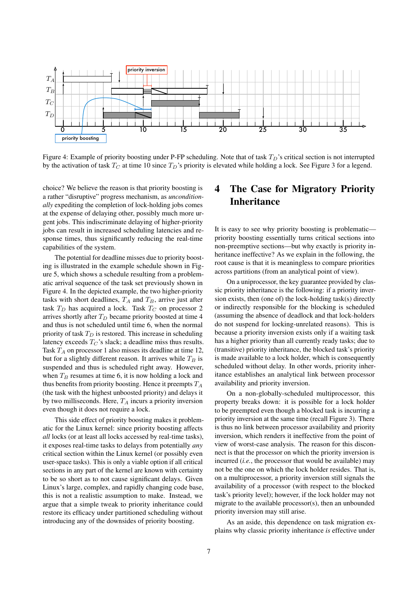

<span id="page-6-1"></span>Figure 4: Example of priority boosting under P-FP scheduling. Note that of task  $T_D$ 's critical section is not interrupted by the activation of task  $T_C$  at time 10 since  $T_D$ 's priority is elevated while holding a lock. See Figure [3](#page-5-1) for a legend.

choice? We believe the reason is that priority boosting is a rather "disruptive" progress mechanism, as *unconditionally* expediting the completion of lock-holding jobs comes at the expense of delaying other, possibly much more urgent jobs. This indiscriminate delaying of higher-priority jobs can result in increased scheduling latencies and response times, thus significantly reducing the real-time capabilities of the system.

The potential for deadline misses due to priority boosting is illustrated in the example schedule shown in Figure [5,](#page-7-0) which shows a schedule resulting from a problematic arrival sequence of the task set previously shown in Figure [4.](#page-6-1) In the depicted example, the two higher-priority tasks with short deadlines,  $T_A$  and  $T_B$ , arrive just after task  $T_D$  has acquired a lock. Task  $T_C$  on processor 2 arrives shortly after  $T_D$  became priority boosted at time 4 and thus is not scheduled until time 6, when the normal priority of task  $T_D$  is restored. This increase in scheduling latency exceeds  $T_C$ 's slack; a deadline miss thus results. Task  $T_A$  on processor 1 also misses its deadline at time 12, but for a slightly different reason. It arrives while  $T_B$  is suspended and thus is scheduled right away. However, when  $T_B$  resumes at time 6, it is now holding a lock and thus benefits from priority boosting. Hence it preempts  $T_A$ (the task with the highest unboosted priority) and delays it by two milliseconds. Here,  $T_A$  incurs a priority inversion even though it does not require a lock.

<span id="page-6-0"></span>This side effect of priority boosting makes it problematic for the Linux kernel: since priority boosting affects *all* locks (or at least all locks accessed by real-time tasks), it exposes real-time tasks to delays from potentially *any* critical section within the Linux kernel (or possibly even user-space tasks). This is only a viable option if all critical sections in any part of the kernel are known with certainty to be so short as to not cause significant delays. Given Linux's large, complex, and rapidly changing code base, this is not a realistic assumption to make. Instead, we argue that a simple tweak to priority inheritance could restore its efficacy under partitioned scheduling without introducing any of the downsides of priority boosting.

# 4 The Case for Migratory Priority Inheritance

It is easy to see why priority boosting is problematic priority boosting essentially turns critical sections into non-preemptive sections—but why exactly is priority inheritance ineffective? As we explain in the following, the root cause is that it is meaningless to compare priorities across partitions (from an analytical point of view).

On a uniprocessor, the key guarantee provided by classic priority inheritance is the following: if a priority inversion exists, then (one of) the lock-holding task(s) directly or indirectly responsible for the blocking is scheduled (assuming the absence of deadlock and that lock-holders do not suspend for locking-unrelated reasons). This is because a priority inversion exists only if a waiting task has a higher priority than all currently ready tasks; due to (transitive) priority inheritance, the blocked task's priority is made available to a lock holder, which is consequently scheduled without delay. In other words, priority inheritance establishes an analytical link between processor availability and priority inversion.

On a non-globally-scheduled multiprocessor, this property breaks down: it is possible for a lock holder to be preempted even though a blocked task is incurring a priority inversion at the same time (recall Figure [3\)](#page-5-1). There is thus no link between processor availability and priority inversion, which renders it ineffective from the point of view of worst-case analysis. The reason for this disconnect is that the processor on which the priority inversion is incurred (*i.e.*, the processor that would be available) may not be the one on which the lock holder resides. That is, on a multiprocessor, a priority inversion still signals the availability of a processor (with respect to the blocked task's priority level); however, if the lock holder may not migrate to the available processor(s), then an unbounded priority inversion may still arise.

As an aside, this dependence on task migration explains why classic priority inheritance *is* effective under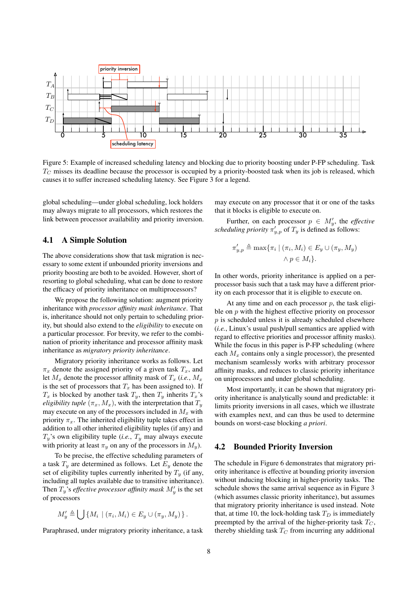

<span id="page-7-0"></span>Figure 5: Example of increased scheduling latency and blocking due to priority boosting under P-FP scheduling. Task  $T<sub>C</sub>$  misses its deadline because the processor is occupied by a priority-boosted task when its job is released, which causes it to suffer increased scheduling latency. See Figure [3](#page-5-1) for a legend.

global scheduling—under global scheduling, lock holders may always migrate to all processors, which restores the link between processor availability and priority inversion.

### <span id="page-7-1"></span>4.1 A Simple Solution

The above considerations show that task migration is necessary to some extent if unbounded priority inversions and priority boosting are both to be avoided. However, short of resorting to global scheduling, what can be done to restore the efficacy of priority inheritance on multiprocessors?

We propose the following solution: augment priority inheritance with *processor affinity mask inheritance*. That is, inheritance should not only pertain to scheduling priority, but should also extend to the *eligibility* to execute on a particular processor. For brevity, we refer to the combination of priority inheritance and processor affinity mask inheritance as *migratory priority inheritance*.

Migratory priority inheritance works as follows. Let  $\pi_x$  denote the assigned priority of a given task  $T_x$ , and let  $M_x$  denote the processor affinity mask of  $T_x$  (*i.e.*,  $M_x$ ) is the set of processors that  $T_x$  has been assigned to). If  $T_x$  is blocked by another task  $T_y$ , then  $T_y$  inherits  $T_x$ 's *eligibility tuple*  $(\pi_x, M_x)$ , with the interpretation that  $T_y$ may execute on any of the processors included in  $M_x$  with priority  $\pi_x$ . The inherited eligibility tuple takes effect in addition to all other inherited eligibility tuples (if any) and  $T_{\nu}$ 's own eligibility tuple (*i.e.*,  $T_{\nu}$  may always execute with priority at least  $\pi_y$  on any of the processors in  $M_y$ ).

To be precise, the effective scheduling parameters of a task  $T_y$  are determined as follows. Let  $E_y$  denote the set of eligibility tuples currently inherited by  $T_y$  (if any, including all tuples available due to transitive inheritance). Then  $T_y$ 's *effective processor affinity mask*  $M'_y$  is the set of processors

$$
M'_y \triangleq \bigcup \{M_i \mid (\pi_i, M_i) \in E_y \cup (\pi_y, M_y)\}.
$$

Paraphrased, under migratory priority inheritance, a task

may execute on any processor that it or one of the tasks that it blocks is eligible to execute on.

Further, on each processor  $p \in M'_y$ , the *effective scheduling priority*  $\pi'_{y,p}$  of  $T_y$  is defined as follows:

$$
\pi'_{y,p} \triangleq \max \{ \pi_i \mid (\pi_i, M_i) \in E_y \cup (\pi_y, M_y) \land p \in M_i \}.
$$

In other words, priority inheritance is applied on a perprocessor basis such that a task may have a different priority on each processor that it is eligible to execute on.

At any time and on each processor  $p$ , the task eligible on  $p$  with the highest effective priority on processor  $p$  is scheduled unless it is already scheduled elsewhere (*i.e.*, Linux's usual push/pull semantics are applied with regard to effective priorities and processor affinity masks). While the focus in this paper is P-FP scheduling (where each  $M_x$  contains only a single processor), the presented mechanism seamlessly works with arbitrary processor affinity masks, and reduces to classic priority inheritance on uniprocessors and under global scheduling.

Most importantly, it can be shown that migratory priority inheritance is analytically sound and predictable: it limits priority inversions in all cases, which we illustrate with examples next, and can thus be used to determine bounds on worst-case blocking *a priori*.

#### 4.2 Bounded Priority Inversion

The schedule in Figure [6](#page-8-0) demonstrates that migratory priority inheritance is effective at bounding priority inversion without inducing blocking in higher-priority tasks. The schedule shows the same arrival sequence as in Figure [3](#page-5-1) (which assumes classic priority inheritance), but assumes that migratory priority inheritance is used instead. Note that, at time 10, the lock-holding task  $T_D$  is immediately preempted by the arrival of the higher-priority task  $T_C$ , thereby shielding task  $T_C$  from incurring any additional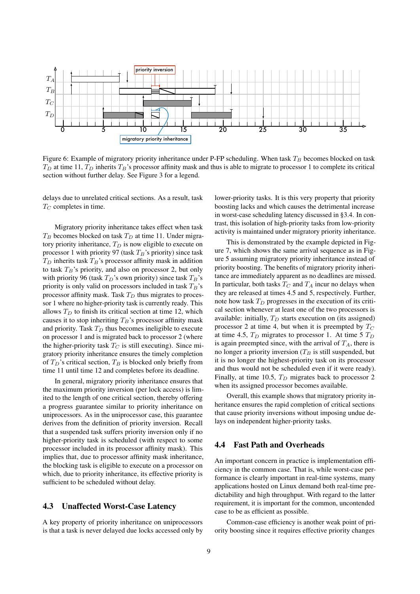

<span id="page-8-0"></span>Figure 6: Example of migratory priority inheritance under P-FP scheduling. When task  $T_B$  becomes blocked on task  $T_D$  at time 11,  $T_D$  inherits  $T_B$ 's processor affinity mask and thus is able to migrate to processor 1 to complete its critical section without further delay. See Figure [3](#page-5-1) for a legend.

delays due to unrelated critical sections. As a result, task  $T_C$  completes in time.

Migratory priority inheritance takes effect when task  $T_B$  becomes blocked on task  $T_D$  at time 11. Under migratory priority inheritance,  $T_D$  is now eligible to execute on processor 1 with priority 97 (task  $T_B$ 's priority) since task  $T_D$  inherits task  $T_B$ 's processor affinity mask in addition to task  $T_B$ 's priority, and also on processor 2, but only with priority 96 (task  $T_D$ 's own priority) since task  $T_B$ 's priority is only valid on processors included in task  $T_B$ 's processor affinity mask. Task  $T_D$  thus migrates to processor 1 where no higher-priority task is currently ready. This allows  $T_D$  to finish its critical section at time 12, which causes it to stop inheriting  $T_B$ 's processor affinity mask and priority. Task  $T_D$  thus becomes ineligible to execute on processor 1 and is migrated back to processor 2 (where the higher-priority task  $T_C$  is still executing). Since migratory priority inheritance ensures the timely completion of  $T_D$ 's critical section,  $T_B$  is blocked only briefly from time 11 until time 12 and completes before its deadline.

In general, migratory priority inheritance ensures that the maximum priority inversion (per lock access) is limited to the length of one critical section, thereby offering a progress guarantee similar to priority inheritance on uniprocessors. As in the uniprocessor case, this guarantee derives from the definition of priority inversion. Recall that a suspended task suffers priority inversion only if no higher-priority task is scheduled (with respect to some processor included in its processor affinity mask). This implies that, due to processor affinity mask inheritance, the blocking task is eligible to execute on a processor on which, due to priority inheritance, its effective priority is sufficient to be scheduled without delay.

### 4.3 Unaffected Worst-Case Latency

A key property of priority inheritance on uniprocessors is that a task is never delayed due locks accessed only by lower-priority tasks. It is this very property that priority boosting lacks and which causes the detrimental increase in worst-case scheduling latency discussed in [§3.4.](#page-5-2) In contrast, this isolation of high-priority tasks from low-priority activity is maintained under migratory priority inheritance.

This is demonstrated by the example depicted in Figure [7,](#page-9-0) which shows the same arrival sequence as in Figure [5](#page-7-0) assuming migratory priority inheritance instead of priority boosting. The benefits of migratory priority inheritance are immediately apparent as no deadlines are missed. In particular, both tasks  $T_C$  and  $T_A$  incur no delays when they are released at times 4.5 and 5, respectively. Further, note how task  $T_D$  progresses in the execution of its critical section whenever at least one of the two processors is available: initially,  $T_D$  starts execution on (its assigned) processor 2 at time 4, but when it is preempted by  $T_C$ at time 4.5,  $T_D$  migrates to processor 1. At time 5  $T_D$ is again preempted since, with the arrival of  $T_A$ , there is no longer a priority inversion  $(T_B$  is still suspended, but it is no longer the highest-priority task on its processor and thus would not be scheduled even if it were ready). Finally, at time 10.5,  $T_D$  migrates back to processor 2 when its assigned processor becomes available.

Overall, this example shows that migratory priority inheritance ensures the rapid completion of critical sections that cause priority inversions without imposing undue delays on independent higher-priority tasks.

#### 4.4 Fast Path and Overheads

An important concern in practice is implementation efficiency in the common case. That is, while worst-case performance is clearly important in real-time systems, many applications hosted on Linux demand both real-time predictability and high throughput. With regard to the latter requirement, it is important for the common, uncontended case to be as efficient as possible.

Common-case efficiency is another weak point of priority boosting since it requires effective priority changes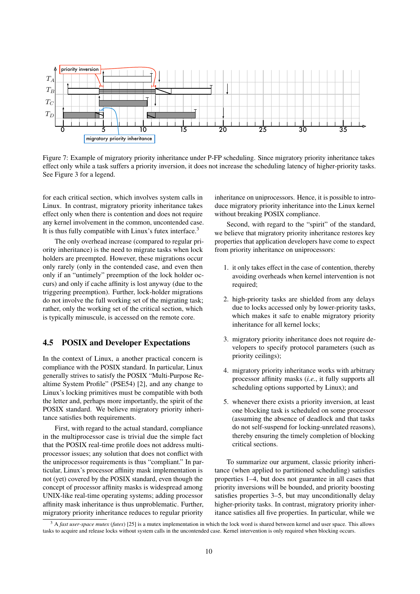

<span id="page-9-0"></span>Figure 7: Example of migratory priority inheritance under P-FP scheduling. Since migratory priority inheritance takes effect only while a task suffers a priority inversion, it does not increase the scheduling latency of higher-priority tasks. See Figure [3](#page-5-1) for a legend.

for each critical section, which involves system calls in Linux. In contrast, migratory priority inheritance takes effect only when there is contention and does not require any kernel involvement in the common, uncontended case. It is thus fully compatible with Linux's futex interface.[3](#page-9-1)

The only overhead increase (compared to regular priority inheritance) is the need to migrate tasks when lock holders are preempted. However, these migrations occur only rarely (only in the contended case, and even then only if an "untimely" preemption of the lock holder occurs) and only if cache affinity is lost anyway (due to the triggering preemption). Further, lock-holder migrations do not involve the full working set of the migrating task; rather, only the working set of the critical section, which is typically minuscule, is accessed on the remote core.

### 4.5 POSIX and Developer Expectations

In the context of Linux, a another practical concern is compliance with the POSIX standard. In particular, Linux generally strives to satisfy the POSIX "Multi-Purpose Realtime System Profile" (PSE54) [\[2\]](#page-15-0), and any change to Linux's locking primitives must be compatible with both the letter and, perhaps more importantly, the spirit of the POSIX standard. We believe migratory priority inheritance satisfies both requirements.

First, with regard to the actual standard, compliance in the multiprocessor case is trivial due the simple fact that the POSIX real-time profile does not address multiprocessor issues; any solution that does not conflict with the uniprocessor requirements is thus "compliant." In particular, Linux's processor affinity mask implementation is not (yet) covered by the POSIX standard, even though the concept of processor affinity masks is widespread among UNIX-like real-time operating systems; adding processor affinity mask inheritance is thus unproblematic. Further, migratory priority inheritance reduces to regular priority

inheritance on uniprocessors. Hence, it is possible to introduce migratory priority inheritance into the Linux kernel without breaking POSIX compliance.

Second, with regard to the "spirit" of the standard, we believe that migratory priority inheritance restores key properties that application developers have come to expect from priority inheritance on uniprocessors:

- 1. it only takes effect in the case of contention, thereby avoiding overheads when kernel intervention is not required;
- 2. high-priority tasks are shielded from any delays due to locks accessed only by lower-priority tasks, which makes it safe to enable migratory priority inheritance for all kernel locks;
- 3. migratory priority inheritance does not require developers to specify protocol parameters (such as priority ceilings);
- 4. migratory priority inheritance works with arbitrary processor affinity masks (*i.e.*, it fully supports all scheduling options supported by Linux); and
- 5. whenever there exists a priority inversion, at least one blocking task is scheduled on some processor (assuming the absence of deadlock and that tasks do not self-suspend for locking-unrelated reasons), thereby ensuring the timely completion of blocking critical sections.

To summarize our argument, classic priority inheritance (when applied to partitioned scheduling) satisfies properties 1–4, but does not guarantee in all cases that priority inversions will be bounded, and priority boosting satisfies properties 3–5, but may unconditionally delay higher-priority tasks. In contrast, migratory priority inheritance satisfies all five properties. In particular, while we

<span id="page-9-1"></span><sup>&</sup>lt;sup>3</sup> A *fast user-space mutex* (*futex*) [\[25\]](#page-16-3) is a mutex implementation in which the lock word is shared between kernel and user space. This allows tasks to acquire and release locks without system calls in the uncontended case. Kernel intervention is only required when blocking occurs.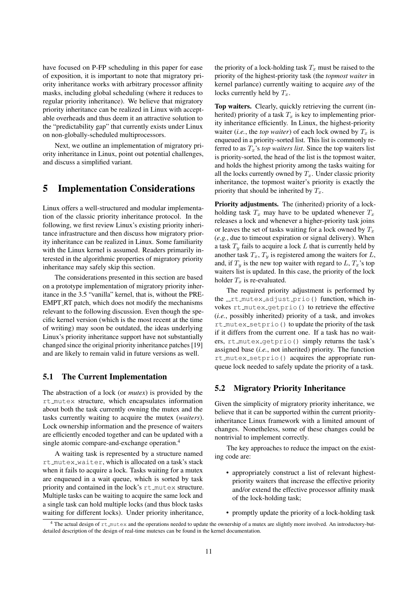have focused on P-FP scheduling in this paper for ease of exposition, it is important to note that migratory priority inheritance works with arbitrary processor affinity masks, including global scheduling (where it reduces to regular priority inheritance). We believe that migratory priority inheritance can be realized in Linux with acceptable overheads and thus deem it an attractive solution to the "predictability gap" that currently exists under Linux on non-globally-scheduled multiprocessors.

Next, we outline an implementation of migratory priority inheritance in Linux, point out potential challenges, and discuss a simplified variant.

## <span id="page-10-0"></span>5 Implementation Considerations

Linux offers a well-structured and modular implementation of the classic priority inheritance protocol. In the following, we first review Linux's existing priority inheritance infrastructure and then discuss how migratory priority inheritance can be realized in Linux. Some familiarity with the Linux kernel is assumed. Readers primarily interested in the algorithmic properties of migratory priority inheritance may safely skip this section.

The considerations presented in this section are based on a prototype implementation of migratory priority inheritance in the 3.5 "vanilla" kernel, that is, without the PRE-EMPT\_RT patch, which does not modify the mechanisms relevant to the following discussion. Even though the specific kernel version (which is the most recent at the time of writing) may soon be outdated, the ideas underlying Linux's priority inheritance support have not substantially changed since the original priority inheritance patches [\[19\]](#page-16-1) and are likely to remain valid in future versions as well.

### 5.1 The Current Implementation

The abstraction of a lock (or *mutex*) is provided by the rt mutex structure, which encapsulates information about both the task currently owning the mutex and the tasks currently waiting to acquire the mutex (*waiters*). Lock ownership information and the presence of waiters are efficiently encoded together and can be updated with a single atomic compare-and-exchange operation.[4](#page-10-1)

A waiting task is represented by a structure named rt mutex waiter, which is allocated on a task's stack when it fails to acquire a lock. Tasks waiting for a mutex are enqueued in a wait queue, which is sorted by task priority and contained in the lock's rt\_mutex structure. Multiple tasks can be waiting to acquire the same lock and a single task can hold multiple locks (and thus block tasks waiting for different locks). Under priority inheritance, the priority of a lock-holding task  $T_x$  must be raised to the priority of the highest-priority task (the *topmost waiter* in kernel parlance) currently waiting to acquire *any* of the locks currently held by  $T_x$ .

Top waiters. Clearly, quickly retrieving the current (inherited) priority of a task  $T<sub>x</sub>$  is key to implementing priority inheritance efficiently. In Linux, the highest-priority waiter (*i.e.*, the *top waiter*) of each lock owned by  $T_x$  is enqueued in a priority-sorted list. This list is commonly referred to as  $T_x$ 's *top waiters list*. Since the top waiters list is priority-sorted, the head of the list is the topmost waiter, and holds the highest priority among the tasks waiting for all the locks currently owned by  $T_x$ . Under classic priority inheritance, the topmost waiter's priority is exactly the priority that should be inherited by  $T_x$ .

Priority adjustments. The (inherited) priority of a lockholding task  $T_x$  may have to be updated whenever  $T_x$ releases a lock and whenever a higher-priority task joins or leaves the set of tasks waiting for a lock owned by  $T_x$ (*e.g.*, due to timeout expiration or signal delivery). When a task  $T<sub>y</sub>$  fails to acquire a lock L that is currently held by another task  $T_x$ ,  $T_y$  is registered among the waiters for L, and, if  $T_y$  is the new top waiter with regard to L,  $T_x$ 's top waiters list is updated. In this case, the priority of the lock holder  $T_x$  is re-evaluated.

The required priority adjustment is performed by the \_rt\_mutex\_adjust\_prio() function, which invokes rt mutex getprio() to retrieve the effective (*i.e.*, possibly inherited) priority of a task, and invokes rt mutex setprio() to update the priority of the task if it differs from the current one. If a task has no waiters, rt\_mutex\_getprio() simply returns the task's assigned base (*i.e.*, not inherited) priority. The function rt mutex setprio() acquires the appropriate runqueue lock needed to safely update the priority of a task.

### 5.2 Migratory Priority Inheritance

Given the simplicity of migratory priority inheritance, we believe that it can be supported within the current priorityinheritance Linux framework with a limited amount of changes. Nonetheless, some of these changes could be nontrivial to implement correctly.

The key approaches to reduce the impact on the existing code are:

- appropriately construct a list of relevant highestpriority waiters that increase the effective priority and/or extend the effective processor affinity mask of the lock-holding task;
- promptly update the priority of a lock-holding task

<span id="page-10-1"></span><sup>&</sup>lt;sup>4</sup> The actual design of  $rt\_mutes$  and the operations needed to update the ownership of a mutex are slightly more involved. An introductory-butdetailed description of the design of real-time mutexes can be found in the kernel documentation.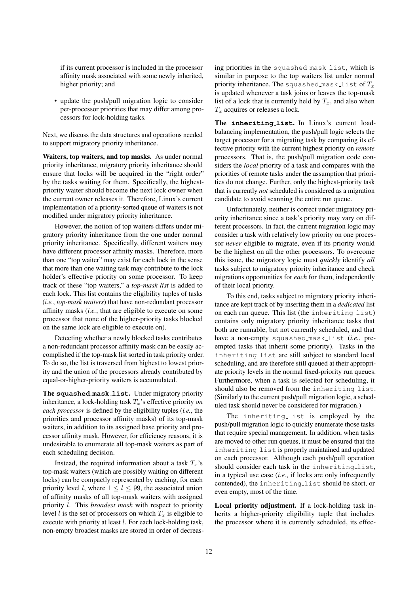if its current processor is included in the processor affinity mask associated with some newly inherited, higher priority; and

• update the push/pull migration logic to consider per-processor priorities that may differ among processors for lock-holding tasks.

Next, we discuss the data structures and operations needed to support migratory priority inheritance.

Waiters, top waiters, and top masks. As under normal priority inheritance, migratory priority inheritance should ensure that locks will be acquired in the "right order" by the tasks waiting for them. Specifically, the highestpriority waiter should become the next lock owner when the current owner releases it. Therefore, Linux's current implementation of a priority-sorted queue of waiters is not modified under migratory priority inheritance.

However, the notion of top waiters differs under migratory priority inheritance from the one under normal priority inheritance. Specifically, different waiters may have different processor affinity masks. Therefore, more than one "top waiter" may exist for each lock in the sense that more than one waiting task may contribute to the lock holder's effective priority on some processor. To keep track of these "top waiters," a *top-mask list* is added to each lock. This list contains the eligibility tuples of tasks (*i.e.*, *top-mask waiters*) that have non-redundant processor affinity masks (*i.e.*, that are eligible to execute on some processor that none of the higher-priority tasks blocked on the same lock are eligible to execute on).

Detecting whether a newly blocked tasks contributes a non-redundant processor affinity mask can be easily accomplished if the top-mask list sorted in task priority order. To do so, the list is traversed from highest to lowest priority and the union of the processors already contributed by equal-or-higher-priority waiters is accumulated.

The **squashed mask list**. Under migratory priority inheritance, a lock-holding task  $T<sub>x</sub>$ 's effective priority *on each processor* is defined by the eligibility tuples (*i.e.*, the priorities and processor affinity masks) of its top-mask waiters, in addition to its assigned base priority and processor affinity mask. However, for efficiency reasons, it is undesirable to enumerate all top-mask waiters as part of each scheduling decision.

Instead, the required information about a task  $T_x$ 's top-mask waiters (which are possibly waiting on different locks) can be compactly represented by caching, for each priority level *l*, where  $1 \le l \le 99$ , the associated union of affinity masks of all top-mask waiters with assigned priority l. This *broadest mask* with respect to priority level l is the set of processors on which  $T<sub>x</sub>$  is eligible to execute with priority at least l. For each lock-holding task, non-empty broadest masks are stored in order of decreasing priorities in the squashed mask list, which is similar in purpose to the top waiters list under normal priority inheritance. The squashed mask list of  $T_x$ is updated whenever a task joins or leaves the top-mask list of a lock that is currently held by  $T_x$ , and also when  $T_x$  acquires or releases a lock.

The **inheriting list**. In Linux's current loadbalancing implementation, the push/pull logic selects the target processor for a migrating task by comparing its effective priority with the current highest priority on *remote* processors. That is, the push/pull migration code considers the *local* priority of a task and compares with the priorities of remote tasks under the assumption that priorities do not change. Further, only the highest-priority task that is currently *not* scheduled is considered as a migration candidate to avoid scanning the entire run queue.

Unfortunately, neither is correct under migratory priority inheritance since a task's priority may vary on different processors. In fact, the current migration logic may consider a task with relatively low priority on one processor *never* eligible to migrate, even if its priority would be the highest on all the other processors. To overcome this issue, the migratory logic must *quickly* identify *all* tasks subject to migratory priority inheritance and check migrations opportunities for *each* for them, independently of their local priority.

To this end, tasks subject to migratory priority inheritance are kept track of by inserting them in a *dedicated* list on each run queue. This list (the inheriting list) contains only migratory priority inheritance tasks that both are runnable, but not currently scheduled, and that have a non-empty squashed mask list (*i.e.*, preempted tasks that inherit some priority). Tasks in the inheriting list are still subject to standard local scheduling, and are therefore still queued at their appropriate priority levels in the normal fixed-priority run queues. Furthermore, when a task is selected for scheduling, it should also be removed from the inheriting list. (Similarly to the current push/pull migration logic, a scheduled task should never be considered for migration.)

The inheriting list is employed by the push/pull migration logic to quickly enumerate those tasks that require special management. In addition, when tasks are moved to other run queues, it must be ensured that the inheriting list is properly maintained and updated on each processor. Although each push/pull operation should consider each task in the inheriting list, in a typical use case (*i.e.*, if locks are only infrequently contended), the inheriting list should be short, or even empty, most of the time.

Local priority adjustment. If a lock-holding task inherits a higher-priority eligibility tuple that includes the processor where it is currently scheduled, its effec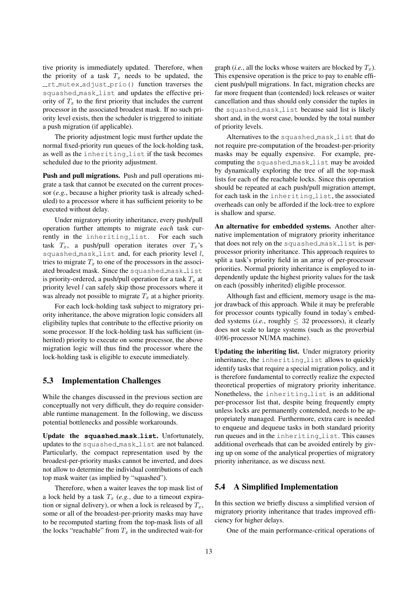tive priority is immediately updated. Therefore, when the priority of a task  $T_x$  needs to be updated, the rt mutex adjust prio() function traverses the squashed mask list and updates the effective priority of  $T_x$  to the first priority that includes the current processor in the associated broadest mask. If no such priority level exists, then the scheduler is triggered to initiate a push migration (if applicable).

The priority adjustment logic must further update the normal fixed-priority run queues of the lock-holding task, as well as the inheriting list if the task becomes scheduled due to the priority adjustment.

Push and pull migrations. Push and pull operations migrate a task that cannot be executed on the current processor (*e.g.*, because a higher priority task is already scheduled) to a processor where it has sufficient priority to be executed without delay.

Under migratory priority inheritance, every push/pull operation further attempts to migrate *each* task currently in the inheriting list. For each such task  $T_x$ , a push/pull operation iterates over  $T_x$ 's squashed mask list and, for each priority level l, tries to migrate  $T_x$  to one of the processors in the associated broadest mask. Since the squashed mask list is priority-ordered, a push/pull operation for a task  $T_x$  at priority level  $l$  can safely skip those processors where it was already not possible to migrate  $T_x$  at a higher priority.

For each lock-holding task subject to migratory priority inheritance, the above migration logic considers all eligibility tuples that contribute to the effective priority on some processor. If the lock-holding task has sufficient (inherited) priority to execute on some processor, the above migration logic will thus find the processor where the lock-holding task is eligible to execute immediately.

#### 5.3 Implementation Challenges

While the changes discussed in the previous section are conceptually not very difficult, they do require considerable runtime management. In the following, we discuss potential bottlenecks and possible workarounds.

Update the **squashed mask list**. Unfortunately, updates to the squashed mask list are not balanced. Particularly, the compact representation used by the broadest-per-priority masks cannot be inverted, and does not allow to determine the individual contributions of each top mask waiter (as implied by "squashed").

Therefore, when a waiter leaves the top mask list of a lock held by a task  $T_x$  (e.g., due to a timeout expiration or signal delivery), or when a lock is released by  $T_x$ , some or all of the broadest-per-priority masks may have to be recomputed starting from the top-mask lists of all the locks "reachable" from  $T_x$  in the undirected wait-for

graph (*i.e.*, all the locks whose waiters are blocked by  $T_x$ ). This expensive operation is the price to pay to enable efficient push/pull migrations. In fact, migration checks are far more frequent than (contended) lock releases or waiter cancellation and thus should only consider the tuples in the squashed mask list because said list is likely short and, in the worst case, bounded by the total number of priority levels.

Alternatives to the squashed mask list that do not require pre-computation of the broadest-per-priority masks may be equally expensive. For example, precomputing the squashed mask list may be avoided by dynamically exploring the tree of all the top-mask lists for each of the reachable locks. Since this operation should be repeated at each push/pull migration attempt, for each task in the inheriting list, the associated overheads can only be afforded if the lock-tree to explore is shallow and sparse.

An alternative for embedded systems. Another alternative implementation of migratory priority inheritance that does not rely on the squashed mask list is perprocessor priority inheritance. This approach requires to split a task's priority field in an array of per-processor priorities. Normal priority inheritance is employed to independently update the highest priority values for the task on each (possibly inherited) eligible processor.

Although fast and efficient, memory usage is the major drawback of this approach. While it may be preferable for processor counts typically found in today's embedded systems (*i.e.*, roughly  $\leq 32$  processors), it clearly does not scale to large systems (such as the proverbial 4096-processor NUMA machine).

Updating the inheriting list. Under migratory priority inheritance, the inheriting list allows to quickly identify tasks that require a special migration policy, and it is therefore fundamental to correctly realize the expected theoretical properties of migratory priority inheritance. Nonetheless, the inheriting list is an additional per-processor list that, despite being frequently empty unless locks are permanently contended, needs to be appropriately managed. Furthermore, extra care is needed to enqueue and dequeue tasks in both standard priority run queues and in the inheriting list. This causes additional overheads that can be avoided entirely by giving up on some of the analytical properties of migratory priority inheritance, as we discuss next.

### 5.4 A Simplified Implementation

In this section we briefly discuss a simplified version of migratory priority inheritance that trades improved efficiency for higher delays.

One of the main performance-critical operations of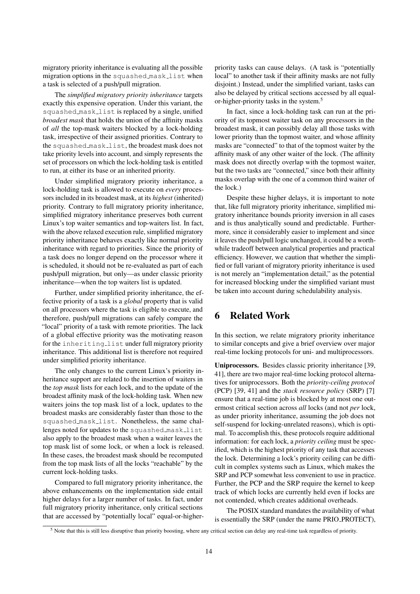migratory priority inheritance is evaluating all the possible migration options in the squashed mask list when a task is selected of a push/pull migration.

The *simplified migratory priority inheritance* targets exactly this expensive operation. Under this variant, the squashed mask list is replaced by a single, unified *broadest mask* that holds the union of the affinity masks of *all* the top-mask waiters blocked by a lock-holding task, irrespective of their assigned priorities. Contrary to the squashed mask list, the broadest mask does not take priority levels into account, and simply represents the set of processors on which the lock-holding task is entitled to run, at either its base or an inherited priority.

Under simplified migratory priority inheritance, a lock-holding task is allowed to execute on *every* processors included in its broadest mask, at its *highest* (inherited) priority. Contrary to full migratory priority inheritance, simplified migratory inheritance preserves both current Linux's top waiter semantics and top-waiters list. In fact, with the above relaxed execution rule, simplified migratory priority inheritance behaves exactly like normal priority inheritance with regard to priorities. Since the priority of a task does no longer depend on the processor where it is scheduled, it should not be re-evaluated as part of each push/pull migration, but only—as under classic priority inheritance—when the top waiters list is updated.

Further, under simplified priority inheritance, the effective priority of a task is a *global* property that is valid on all processors where the task is eligible to execute, and therefore, push/pull migrations can safely compare the "local" priority of a task with remote priorities. The lack of a global effective priority was the motivating reason for the inheriting list under full migratory priority inheritance. This additional list is therefore not required under simplified priority inheritance.

The only changes to the current Linux's priority inheritance support are related to the insertion of waiters in the *top mask* lists for each lock, and to the update of the broadest affinity mask of the lock-holding task. When new waiters joins the top mask list of a lock, updates to the broadest masks are considerably faster than those to the squashed mask list. Nonetheless, the same challenges noted for updates to the squashed mask list also apply to the broadest mask when a waiter leaves the top mask list of some lock, or when a lock is released. In these cases, the broadest mask should be recomputed from the top mask lists of all the locks "reachable" by the current lock-holding tasks.

Compared to full migratory priority inheritance, the above enhancements on the implementation side entail higher delays for a larger number of tasks. In fact, under full migratory priority inheritance, only critical sections that are accessed by "potentially local" equal-or-higherpriority tasks can cause delays. (A task is "potentially local" to another task if their affinity masks are not fully disjoint.) Instead, under the simplified variant, tasks can also be delayed by critical sections accessed by all equal-or-higher-priority tasks in the system.<sup>[5](#page-13-1)</sup>

In fact, since a lock-holding task can run at the priority of its topmost waiter task on any processors in the broadest mask, it can possibly delay all those tasks with lower priority than the topmost waiter, and whose affinity masks are "connected" to that of the topmost waiter by the affinity mask of any other waiter of the lock. (The affinity mask does not directly overlap with the topmost waiter, but the two tasks are "connected," since both their affinity masks overlap with the one of a common third waiter of the lock.)

Despite these higher delays, it is important to note that, like full migratory priority inheritance, simplified migratory inheritance bounds priority inversion in all cases and is thus analytically sound and predictable. Furthermore, since it considerably easier to implement and since it leaves the push/pull logic unchanged, it could be a worthwhile tradeoff between analytical properties and practical efficiency. However, we caution that whether the simplified or full variant of migratory priority inheritance is used is not merely an "implementation detail," as the potential for increased blocking under the simplified variant must be taken into account during schedulability analysis.

# <span id="page-13-0"></span>6 Related Work

In this section, we relate migratory priority inheritance to similar concepts and give a brief overview over major real-time locking protocols for uni- and multiprocessors.

Uniprocessors. Besides classic priority inheritance [\[39,](#page-17-0) [41\]](#page-17-1), there are two major real-time locking protocol alternatives for uniprocessors. Both the *priority-ceiling protocol* (PCP) [\[39,](#page-17-0) [41\]](#page-17-1) and the *stack resource policy* (SRP) [\[7\]](#page-15-4) ensure that a real-time job is blocked by at most one outermost critical section across *all* locks (and not *per* lock, as under priority inheritance, assuming the job does not self-suspend for locking-unrelated reasons), which is optimal. To accomplish this, these protocols require additional information: for each lock, a *priority ceiling* must be specified, which is the highest priority of any task that accesses the lock. Determining a lock's priority ceiling can be difficult in complex systems such as Linux, which makes the SRP and PCP somewhat less convenient to use in practice. Further, the PCP and the SRP require the kernel to keep track of which locks are currently held even if locks are not contended, which creates additional overheads.

The POSIX standard mandates the availability of what is essentially the SRP (under the name PRIO\_PROTECT),

<span id="page-13-1"></span> $<sup>5</sup>$  Note that this is still less disruptive than priority boosting, where any critical section can delay any real-time task regardless of priority.</sup>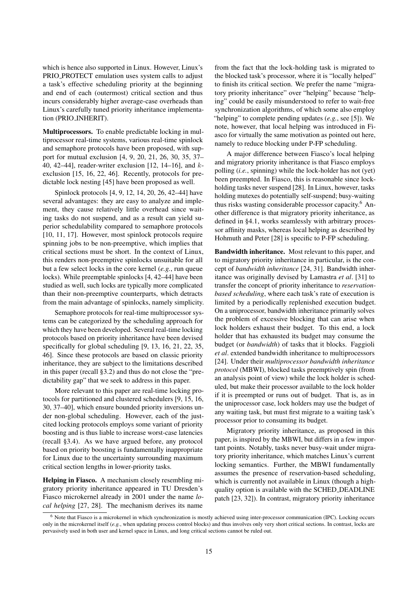which is hence also supported in Linux. However, Linux's PRIO PROTECT emulation uses system calls to adjust a task's effective scheduling priority at the beginning and end of each (outermost) critical section and thus incurs considerably higher average-case overheads than Linux's carefully tuned priority inheritance implementation (PRIO INHERIT).

Multiprocessors. To enable predictable locking in multiprocessor real-time systems, various real-time spinlock and semaphore protocols have been proposed, with support for mutual exclusion [\[4,](#page-15-5) [9,](#page-15-6) [20,](#page-16-4) [21,](#page-16-5) [26,](#page-16-6) [30,](#page-16-7) [35,](#page-17-7) [37–](#page-17-8) [40,](#page-17-6) [42](#page-17-9)[–44\]](#page-17-10), reader-writer exclusion [\[12,](#page-16-8) [14–](#page-16-9)[16\]](#page-16-10), and  $k$ exclusion [\[15,](#page-16-11) [16,](#page-16-10) [22,](#page-16-12) [46\]](#page-17-11). Recently, protocols for predictable lock nesting [\[45\]](#page-17-12) have been proposed as well.

Spinlock protocols [\[4,](#page-15-5) [9,](#page-15-6) [12,](#page-16-8) [14,](#page-16-9) [20,](#page-16-4) [26,](#page-16-6) [42](#page-17-9)[–44\]](#page-17-10) have several advantages: they are easy to analyze and implement, they cause relatively little overhead since waiting tasks do not suspend, and as a result can yield superior schedulability compared to semaphore protocols [\[10,](#page-16-13) [11,](#page-16-14) [17\]](#page-16-15). However, most spinlock protocols require spinning jobs to be non-preemptive, which implies that critical sections must be short. In the context of Linux, this renders non-preemptive spinlocks unsuitable for all but a few select locks in the core kernel (*e.g.*, run queue locks). While preemptable spinlocks [\[4,](#page-15-5) [42](#page-17-9)[–44\]](#page-17-10) have been studied as well, such locks are typically more complicated than their non-preemptive counterparts, which detracts from the main advantage of spinlocks, namely simplicity.

Semaphore protocols for real-time multiprocessor systems can be categorized by the scheduling approach for which they have been developed. Several real-time locking protocols based on priority inheritance have been devised specifically for global scheduling [\[9,](#page-15-6) [13,](#page-16-16) [16,](#page-16-10) [21,](#page-16-5) [22,](#page-16-12) [35,](#page-17-7) [46\]](#page-17-11). Since these protocols are based on classic priority inheritance, they are subject to the limitations described in this paper (recall [§3.2\)](#page-4-2) and thus do not close the "predictability gap" that we seek to address in this paper.

More relevant to this paper are real-time locking protocols for partitioned and clustered schedulers [\[9,](#page-15-6) [15,](#page-16-11) [16,](#page-16-10) [30,](#page-16-7) [37–](#page-17-8)[40\]](#page-17-6), which ensure bounded priority inversions under non-global scheduling. However, each of the justcited locking protocols employs some variant of priority boosting and is thus liable to increase worst-case latencies (recall [§3.4\)](#page-5-2). As we have argued before, any protocol based on priority boosting is fundamentally inappropriate for Linux due to the uncertainty surrounding maximum critical section lengths in lower-priority tasks.

Helping in Fiasco. A mechanism closely resembling migratory priority inheritance appeared in TU Dresden's Fiasco microkernel already in 2001 under the name *local helping* [\[27,](#page-16-17) [28\]](#page-16-18). The mechanism derives its name

from the fact that the lock-holding task is migrated to the blocked task's processor, where it is "locally helped" to finish its critical section. We prefer the name "migratory priority inheritance" over "helping" because "helping" could be easily misunderstood to refer to wait-free synchronization algorithms, of which some also employ "helping" to complete pending updates (*e.g.*, see [\[5\]](#page-15-7)). We note, however, that local helping was introduced in Fiasco for virtually the same motivation as pointed out here, namely to reduce blocking under P-FP scheduling.

A major difference between Fiasco's local helping and migratory priority inheritance is that Fiasco employs polling (*i.e.*, spinning) while the lock-holder has not (yet) been preempted. In Fiasco, this is reasonable since lockholding tasks never suspend [\[28\]](#page-16-18). In Linux, however, tasks holding mutexes do potentially self-suspend; busy-waiting thus risks wasting considerable processor capacity.<sup>[6](#page-14-0)</sup> Another difference is that migratory priority inheritance, as defined in [§4.1,](#page-7-1) works seamlessly with arbitrary processor affinity masks, whereas local helping as described by Hohmuth and Peter [\[28\]](#page-16-18) is specific to P-FP scheduling.

Bandwidth inheritance. Most relevant to this paper, and to migratory priority inheritance in particular, is the concept of *bandwidth inheritance* [\[24,](#page-16-19) [31\]](#page-17-13). Bandwidth inheritance was originally devised by Lamastra *et al*. [\[31\]](#page-17-13) to transfer the concept of priority inheritance to *reservationbased scheduling*, where each task's rate of execution is limited by a periodically replenished execution budget. On a uniprocessor, bandwidth inheritance primarily solves the problem of excessive blocking that can arise when lock holders exhaust their budget. To this end, a lock holder that has exhausted its budget may consume the budget (or *bandwidth*) of tasks that it blocks. Faggioli *et al*. extended bandwidth inheritance to multiprocessors [\[24\]](#page-16-19). Under their *multiprocessor bandwidth inheritance protocol* (MBWI), blocked tasks preemptively spin (from an analysis point of view) while the lock holder is scheduled, but make their processor available to the lock holder if it is preempted or runs out of budget. That is, as in the uniprocessor case, lock holders may use the budget of any waiting task, but must first migrate to a waiting task's processor prior to consuming its budget.

Migratory priority inheritance, as proposed in this paper, is inspired by the MBWI, but differs in a few important points. Notably, tasks never busy-wait under migratory priority inheritance, which matches Linux's current locking semantics. Further, the MBWI fundamentally assumes the presence of reservation-based scheduling, which is currently not available in Linux (though a highquality option is available with the SCHED DEADLINE patch [\[23,](#page-16-20) [32\]](#page-17-14)). In contrast, migratory priority inheritance

<span id="page-14-0"></span><sup>6</sup> Note that Fiasco is a microkernel in which synchronization is mostly achieved using inter-processor communication (IPC). Locking occurs only in the microkernel itself (*e.g.*, when updating process control blocks) and thus involves only very short critical sections. In contrast, locks are pervasively used in both user and kernel space in Linux, and long critical sections cannot be ruled out.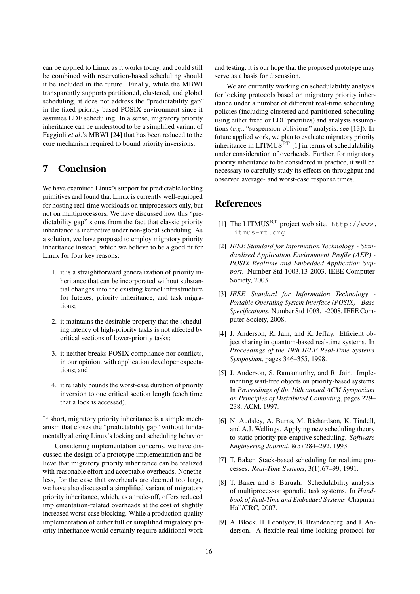can be applied to Linux as it works today, and could still be combined with reservation-based scheduling should it be included in the future. Finally, while the MBWI transparently supports partitioned, clustered, and global scheduling, it does not address the "predictability gap" in the fixed-priority-based POSIX environment since it assumes EDF scheduling. In a sense, migratory priority inheritance can be understood to be a simplified variant of Faggioli *et al*.'s MBWI [\[24\]](#page-16-19) that has been reduced to the core mechanism required to bound priority inversions.

# 7 Conclusion

We have examined Linux's support for predictable locking primitives and found that Linux is currently well-equipped for hosting real-time workloads on uniprocessors only, but not on multiprocessors. We have discussed how this "predictability gap" stems from the fact that classic priority inheritance is ineffective under non-global scheduling. As a solution, we have proposed to employ migratory priority inheritance instead, which we believe to be a good fit for Linux for four key reasons:

- 1. it is a straightforward generalization of priority inheritance that can be incorporated without substantial changes into the existing kernel infrastructure for futexes, priority inheritance, and task migrations;
- 2. it maintains the desirable property that the scheduling latency of high-priority tasks is not affected by critical sections of lower-priority tasks;
- 3. it neither breaks POSIX compliance nor conflicts, in our opinion, with application developer expectations; and
- 4. it reliably bounds the worst-case duration of priority inversion to one critical section length (each time that a lock is accessed).

In short, migratory priority inheritance is a simple mechanism that closes the "predictability gap" without fundamentally altering Linux's locking and scheduling behavior.

Considering implementation concerns, we have discussed the design of a prototype implementation and believe that migratory priority inheritance can be realized with reasonable effort and acceptable overheads. Nonetheless, for the case that overheads are deemed too large, we have also discussed a simplified variant of migratory priority inheritance, which, as a trade-off, offers reduced implementation-related overheads at the cost of slightly increased worst-case blocking. While a production-quality implementation of either full or simplified migratory priority inheritance would certainly require additional work

and testing, it is our hope that the proposed prototype may serve as a basis for discussion.

We are currently working on schedulability analysis for locking protocols based on migratory priority inheritance under a number of different real-time scheduling policies (including clustered and partitioned scheduling using either fixed or EDF priorities) and analysis assumptions (*e.g.*, "suspension-oblivious" analysis, see [\[13\]](#page-16-16)). In future applied work, we plan to evaluate migratory priority inheritance in LITMUS $<sup>RT</sup>$  [\[1\]](#page-15-8) in terms of schedulability</sup> under consideration of overheads. Further, for migratory priority inheritance to be considered in practice, it will be necessary to carefully study its effects on throughput and observed average- and worst-case response times.

# References

- <span id="page-15-8"></span>[1] The LITMUSRT project web site. [http://www.](http://www.litmus-rt.org) [litmus-rt.org](http://www.litmus-rt.org).
- <span id="page-15-0"></span>[2] *IEEE Standard for Information Technology - Standardized Application Environment Profile (AEP) - POSIX Realtime and Embedded Application Support*. Number Std 1003.13-2003. IEEE Computer Society, 2003.
- <span id="page-15-1"></span>[3] *IEEE Standard for Information Technology - Portable Operating System Interface (POSIX) - Base Specifications*. Number Std 1003.1-2008. IEEE Computer Society, 2008.
- <span id="page-15-5"></span>[4] J. Anderson, R. Jain, and K. Jeffay. Efficient object sharing in quantum-based real-time systems. In *Proceedings of the 19th IEEE Real-Time Systems Symposium*, pages 346–355, 1998.
- <span id="page-15-7"></span>[5] J. Anderson, S. Ramamurthy, and R. Jain. Implementing wait-free objects on priority-based systems. In *Proceedings of the 16th annual ACM Symposium on Principles of Distributed Computing*, pages 229– 238. ACM, 1997.
- <span id="page-15-2"></span>[6] N. Audsley, A. Burns, M. Richardson, K. Tindell, and A.J. Wellings. Applying new scheduling theory to static priority pre-emptive scheduling. *Software Engineering Journal*, 8(5):284–292, 1993.
- <span id="page-15-4"></span>[7] T. Baker. Stack-based scheduling for realtime processes. *Real-Time Systems*, 3(1):67–99, 1991.
- <span id="page-15-3"></span>[8] T. Baker and S. Baruah. Schedulability analysis of multiprocessor sporadic task systems. In *Handbook of Real-Time and Embedded Systems*. Chapman Hall/CRC, 2007.
- <span id="page-15-6"></span>[9] A. Block, H. Leontyev, B. Brandenburg, and J. Anderson. A flexible real-time locking protocol for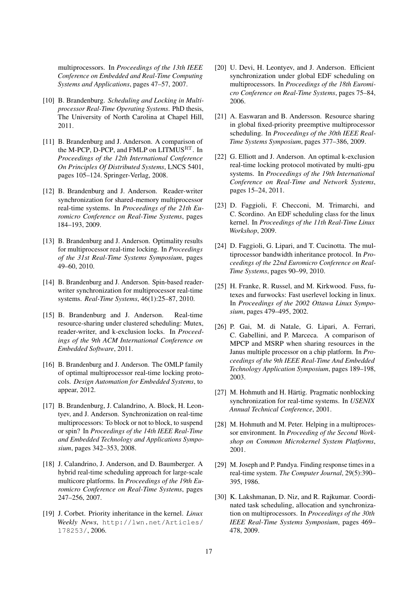multiprocessors. In *Proceedings of the 13th IEEE Conference on Embedded and Real-Time Computing Systems and Applications*, pages 47–57, 2007.

- <span id="page-16-13"></span>[10] B. Brandenburg. *Scheduling and Locking in Multiprocessor Real-Time Operating Systems*. PhD thesis, The University of North Carolina at Chapel Hill, 2011.
- <span id="page-16-14"></span>[11] B. Brandenburg and J. Anderson. A comparison of the M-PCP, D-PCP, and FMLP on LITMUSRT. In *Proceedings of the 12th International Conference On Principles Of Distributed Systems*, LNCS 5401, pages 105–124. Springer-Verlag, 2008.
- <span id="page-16-8"></span>[12] B. Brandenburg and J. Anderson. Reader-writer synchronization for shared-memory multiprocessor real-time systems. In *Proceedings of the 21th Euromicro Conference on Real-Time Systems*, pages 184–193, 2009.
- <span id="page-16-16"></span>[13] B. Brandenburg and J. Anderson. Optimality results for multiprocessor real-time locking. In *Proceedings of the 31st Real-Time Systems Symposium*, pages 49–60, 2010.
- <span id="page-16-9"></span>[14] B. Brandenburg and J. Anderson. Spin-based readerwriter synchronization for multiprocessor real-time systems. *Real-Time Systems*, 46(1):25–87, 2010.
- <span id="page-16-11"></span>[15] B. Brandenburg and J. Anderson. Real-time resource-sharing under clustered scheduling: Mutex, reader-writer, and k-exclusion locks. In *Proceedings of the 9th ACM International Conference on Embedded Software*, 2011.
- <span id="page-16-10"></span>[16] B. Brandenburg and J. Anderson. The OMLP family of optimal multiprocessor real-time locking protocols. *Design Automation for Embedded Systems*, to appear, 2012.
- <span id="page-16-15"></span>[17] B. Brandenburg, J. Calandrino, A. Block, H. Leontyev, and J. Anderson. Synchronization on real-time multiprocessors: To block or not to block, to suspend or spin? In *Proceedings of the 14th IEEE Real-Time and Embedded Technology and Applications Symposium*, pages 342–353, 2008.
- <span id="page-16-2"></span>[18] J. Calandrino, J. Anderson, and D. Baumberger. A hybrid real-time scheduling approach for large-scale multicore platforms. In *Proceedings of the 19th Euromicro Conference on Real-Time Systems*, pages 247–256, 2007.
- <span id="page-16-1"></span>[19] J. Corbet. Priority inheritance in the kernel. *Linux Weekly News*, [http://lwn.net/Articles/](http://lwn.net/Articles/178253/) [178253/](http://lwn.net/Articles/178253/), 2006.
- <span id="page-16-4"></span>[20] U. Devi, H. Leontyev, and J. Anderson. Efficient synchronization under global EDF scheduling on multiprocessors. In *Proceedings of the 18th Euromicro Conference on Real-Time Systems*, pages 75–84, 2006.
- <span id="page-16-5"></span>[21] A. Easwaran and B. Andersson. Resource sharing in global fixed-priority preemptive multiprocessor scheduling. In *Proceedings of the 30th IEEE Real-Time Systems Symposium*, pages 377–386, 2009.
- <span id="page-16-12"></span>[22] G. Elliott and J. Anderson. An optimal k-exclusion real-time locking protocol motivated by multi-gpu systems. In *Proceedings of the 19th International Conference on Real-Time and Network Systems*, pages 15–24, 2011.
- <span id="page-16-20"></span>[23] D. Faggioli, F. Checconi, M. Trimarchi, and C. Scordino. An EDF scheduling class for the linux kernel. In *Proceedings of the 11th Real-Time Linux Workshop*, 2009.
- <span id="page-16-19"></span>[24] D. Faggioli, G. Lipari, and T. Cucinotta. The multiprocessor bandwidth inheritance protocol. In *Proceedings of the 22nd Euromicro Conference on Real-Time Systems*, pages 90–99, 2010.
- <span id="page-16-3"></span>[25] H. Franke, R. Russel, and M. Kirkwood. Fuss, futexes and furwocks: Fast userlevel locking in linux. In *Proceedings of the 2002 Ottawa Linux Symposium*, pages 479–495, 2002.
- <span id="page-16-6"></span>[26] P. Gai, M. di Natale, G. Lipari, A. Ferrari, C. Gabellini, and P. Marceca. A comparison of MPCP and MSRP when sharing resources in the Janus multiple processor on a chip platform. In *Proceedings of the 9th IEEE Real-Time And Embedded Technology Application Symposium*, pages 189–198, 2003.
- <span id="page-16-17"></span>[27] M. Hohmuth and H. Härtig. Pragmatic nonblocking synchronization for real-time systems. In *USENIX Annual Technical Conference*, 2001.
- <span id="page-16-18"></span>[28] M. Hohmuth and M. Peter. Helping in a multiprocessor environment. In *Proceeding of the Second Workshop on Common Microkernel System Platforms*, 2001.
- <span id="page-16-0"></span>[29] M. Joseph and P. Pandya. Finding response times in a real-time system. *The Computer Journal*, 29(5):390– 395, 1986.
- <span id="page-16-7"></span>[30] K. Lakshmanan, D. Niz, and R. Rajkumar. Coordinated task scheduling, allocation and synchronization on multiprocessors. In *Proceedings of the 30th IEEE Real-Time Systems Symposium*, pages 469– 478, 2009.